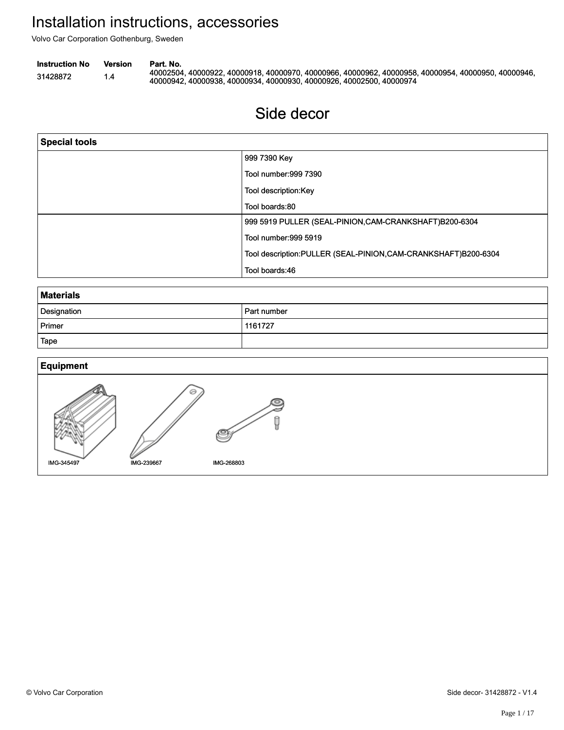## Side decor Side decor

| Volvo Car Corporation Gothenburg, Sweden |                       |                                                                                                                                                                                          | Installation instructions, accessories                        |  |
|------------------------------------------|-----------------------|------------------------------------------------------------------------------------------------------------------------------------------------------------------------------------------|---------------------------------------------------------------|--|
| <b>Instruction No</b><br>31428872        | <b>Version</b><br>1.4 | Part. No.<br>40002504, 40000922, 40000918, 40000970, 40000966, 40000962, 40000958, 40000954, 40000950, 40000946,<br>40000942, 40000938, 40000934, 40000930, 40000926, 40002500, 40000974 |                                                               |  |
|                                          |                       |                                                                                                                                                                                          | Side decor                                                    |  |
| <b>Special tools</b>                     |                       |                                                                                                                                                                                          |                                                               |  |
|                                          |                       |                                                                                                                                                                                          | 999 7390 Key                                                  |  |
|                                          |                       |                                                                                                                                                                                          | Tool number: 999 7390                                         |  |
|                                          |                       |                                                                                                                                                                                          | Tool description:Key                                          |  |
|                                          |                       |                                                                                                                                                                                          | Tool boards:80                                                |  |
|                                          |                       |                                                                                                                                                                                          | 999 5919 PULLER (SEAL-PINION, CAM-CRANKSHAFT)B200-6304        |  |
|                                          |                       |                                                                                                                                                                                          | Tool number:999 5919                                          |  |
|                                          |                       |                                                                                                                                                                                          | Tool description:PULLER (SEAL-PINION,CAM-CRANKSHAFT)B200-6304 |  |
|                                          |                       |                                                                                                                                                                                          | Tool boards:46                                                |  |
| <b>Materials</b>                         |                       |                                                                                                                                                                                          |                                                               |  |
| Designation                              |                       |                                                                                                                                                                                          | Part number                                                   |  |
| Primer                                   |                       |                                                                                                                                                                                          | 1161727                                                       |  |
| Tape                                     |                       |                                                                                                                                                                                          |                                                               |  |
| <b>Equipment</b>                         |                       |                                                                                                                                                                                          |                                                               |  |
| IMG-345497                               |                       | IMG-239667                                                                                                                                                                               | q<br>IMG-268803                                               |  |

| <b>Materials</b> |               |  |  |  |
|------------------|---------------|--|--|--|
| Designation      | l Part number |  |  |  |
| Primer           | 1161727       |  |  |  |
| Tape             |               |  |  |  |

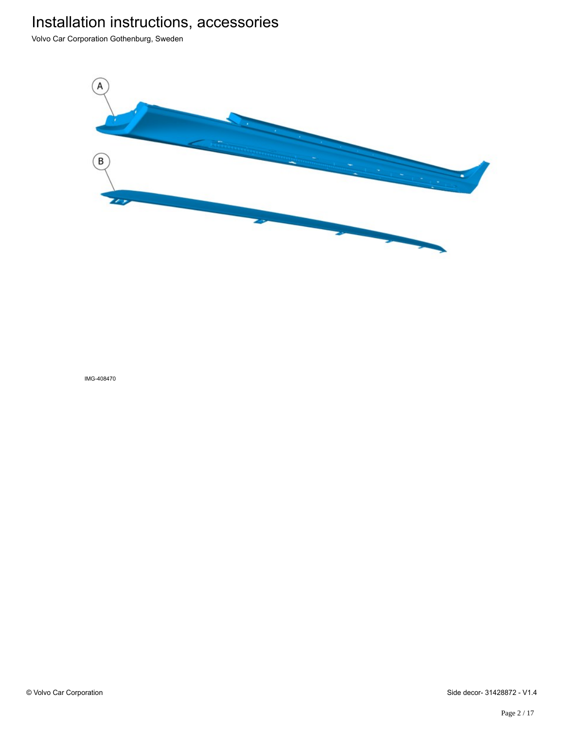Volvo Car Corporation Gothenburg, Sweden

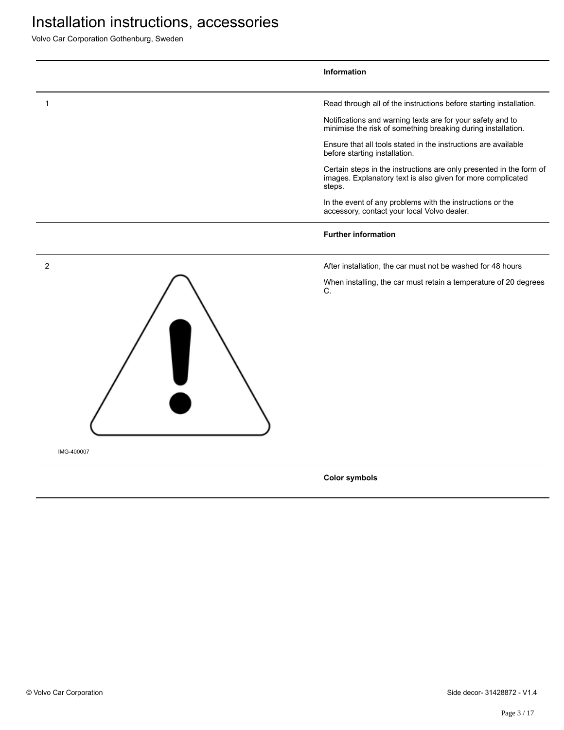Volvo Car Corporation Gothenburg, Sweden



**Color symbols**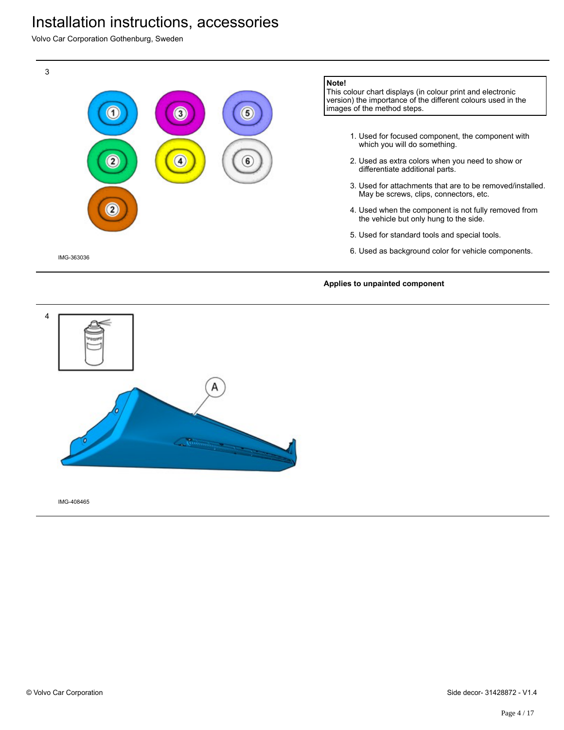Volvo Car Corporation Gothenburg, Sweden



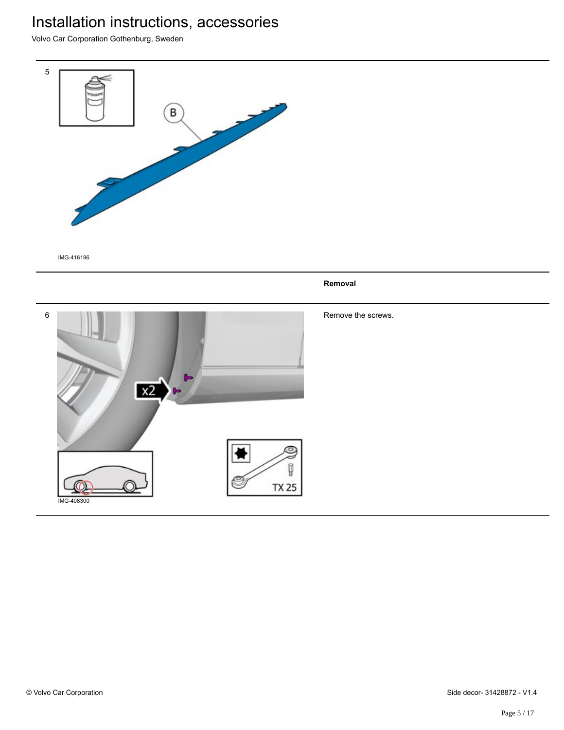Volvo Car Corporation Gothenburg, Sweden



IMG-416196

**Removal**

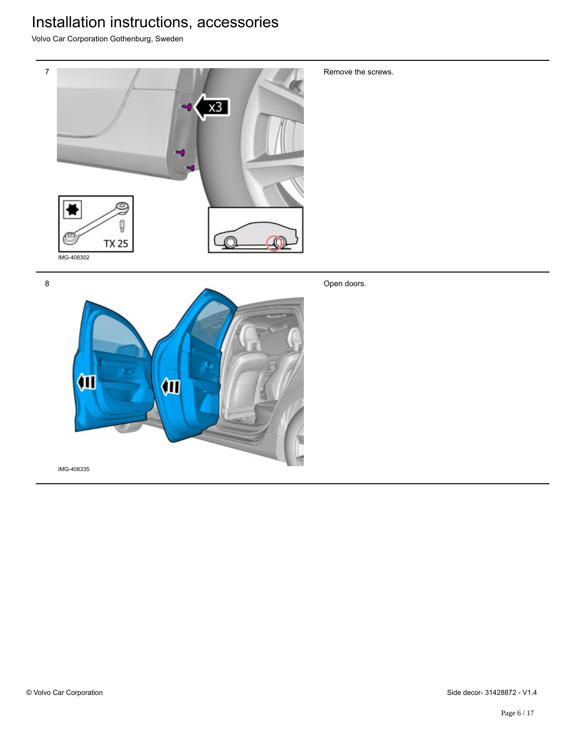Volvo Car Corporation Gothenburg, Sweden



8



Open doors.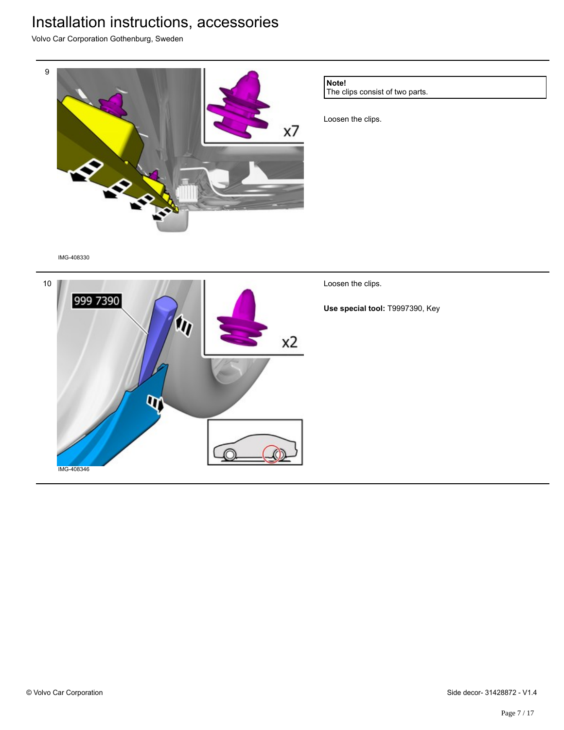Volvo Car Corporation Gothenburg, Sweden



The clips consist of two parts.

Loosen the clips.

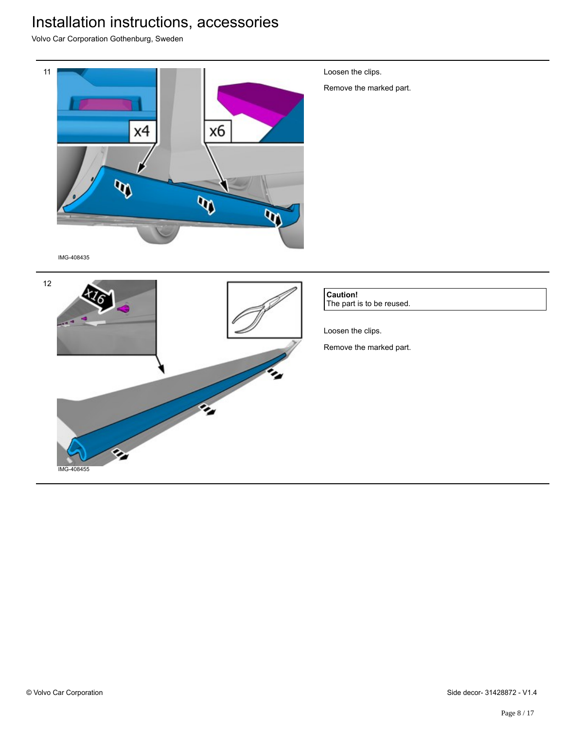Volvo Car Corporation Gothenburg, Sweden

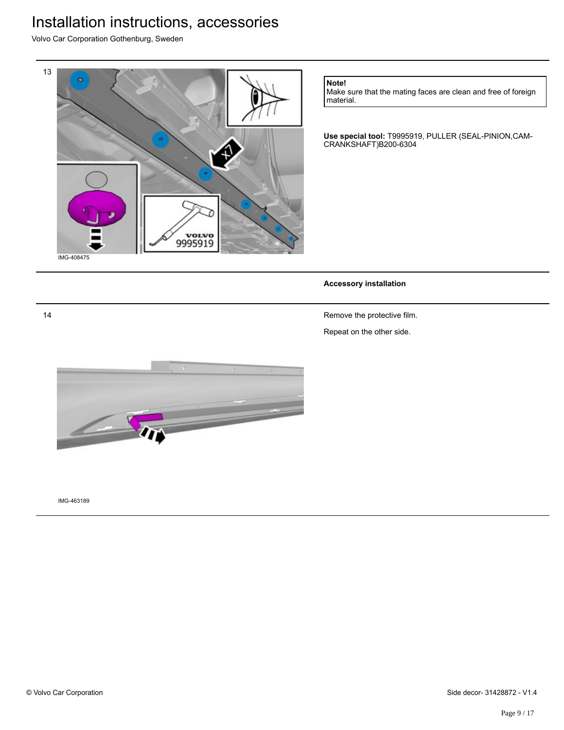Volvo Car Corporation Gothenburg, Sweden



**Note!**

Make sure that the mating faces are clean and free of foreign material.

**Use special tool:** T9995919, PULLER (SEAL-PINION,CAM-CRANKSHAFT)B200-6304

### **Accessory installation**

Remove the protective film.

Repeat on the other side.



IMG-463189

14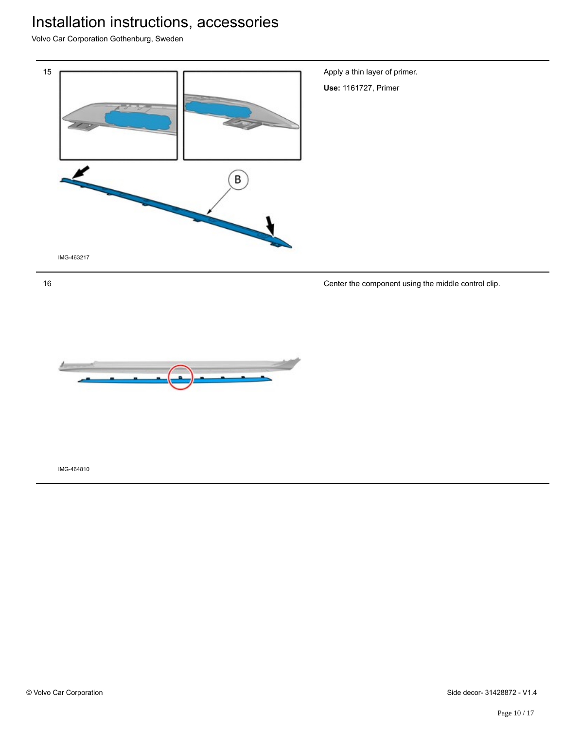Volvo Car Corporation Gothenburg, Sweden



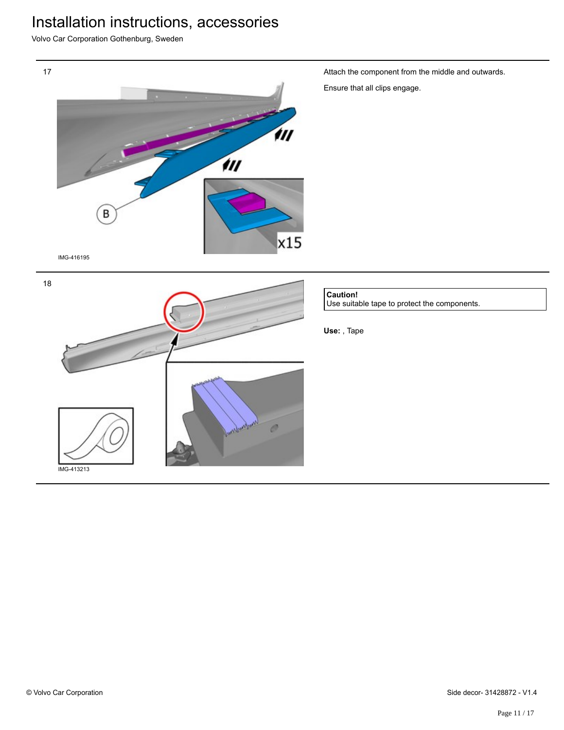Volvo Car Corporation Gothenburg, Sweden

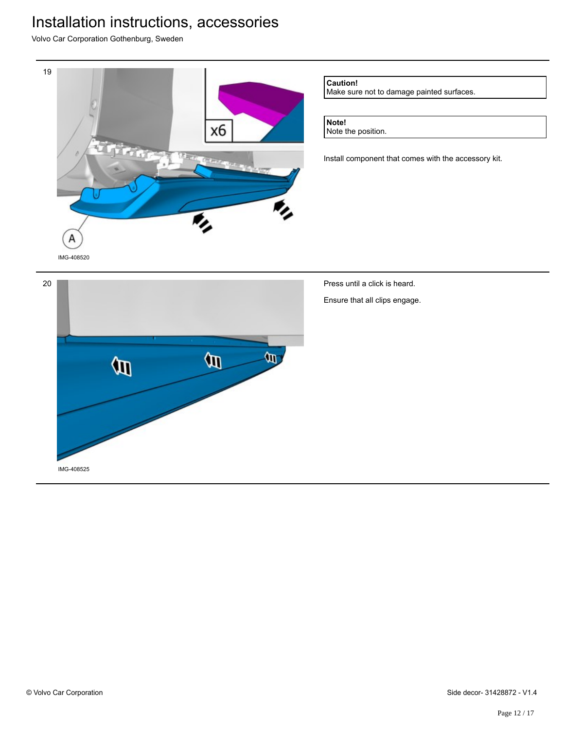Volvo Car Corporation Gothenburg, Sweden

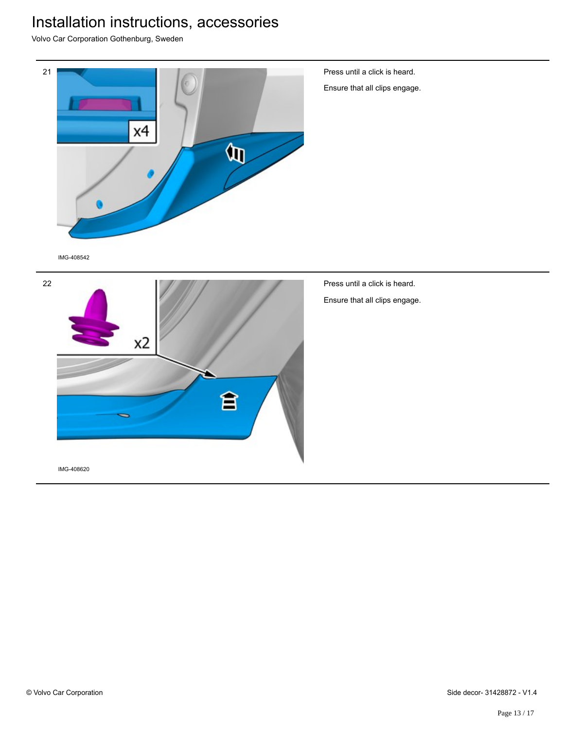Volvo Car Corporation Gothenburg, Sweden

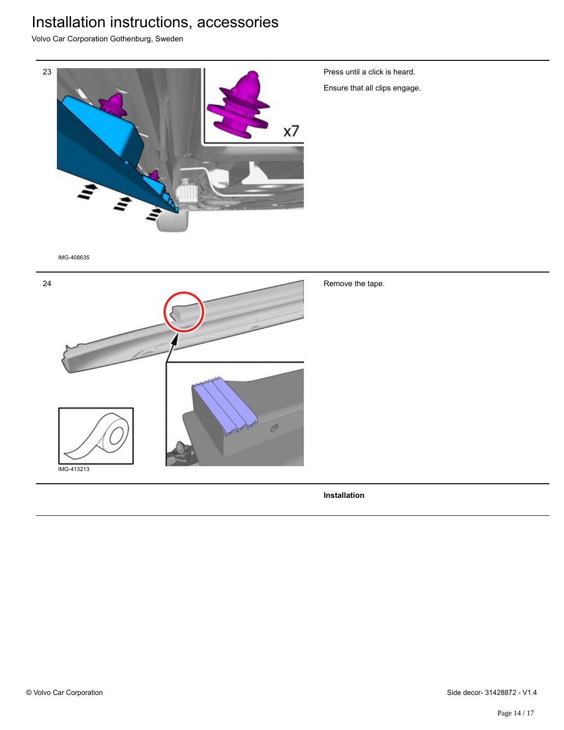Volvo Car Corporation Gothenburg, Sweden



**Installation**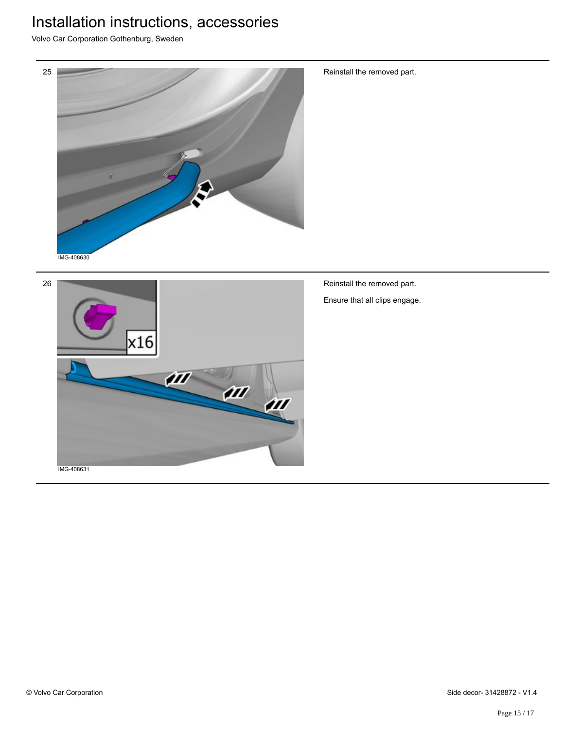Volvo Car Corporation Gothenburg, Sweden



Reinstall the removed part.



Reinstall the removed part. Ensure that all clips engage.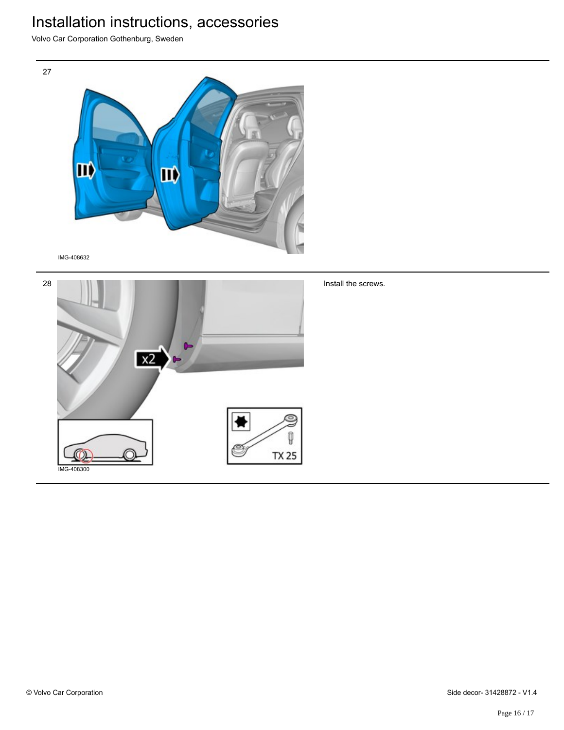Volvo Car Corporation Gothenburg, Sweden



IMG-408632

27



Install the screws.